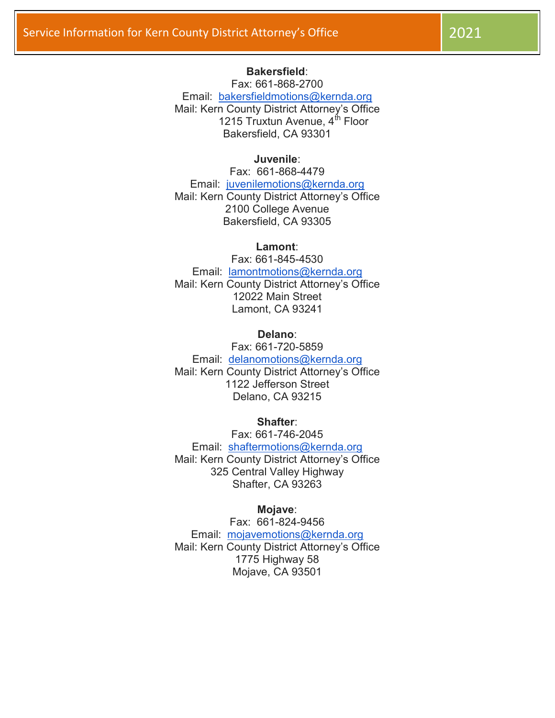### Bakersfield:

Fax: 661-868-2700 Email: bakersfieldmotions@kernda.org Mail: Kern County District Attorney's Office 1215 Truxtun Avenue,  $4<sup>th</sup>$  Floor Bakersfield, CA 93301

### Juvenile:

Fax: 661-868-4479 Email: juvenilemotions@kernda.org Mail: Kern County District Attorney's Office 2100 College Avenue Bakersfield, CA 93305

#### Lamont:

Fax: 661-845-4530 Email: lamontmotions@kernda.org Mail: Kern County District Attorney's Office 12022 Main Street Lamont, CA 93241

### Delano:

Fax: 661-720-5859 Email: delanomotions@kernda.org Mail: Kern County District Attorney's Office 1122 Jefferson Street Delano, CA 93215

#### Shafter:

Fax: 661-746-2045 Email: shaftermotions@kernda.org Mail: Kern County District Attorney's Office 325 Central Valley Highway Shafter, CA 93263

### Mojave:

Fax: 661-824-9456 Email: mojavemotions@kernda.org Mail: Kern County District Attorney's Office 1775 Highway 58 Mojave, CA 93501